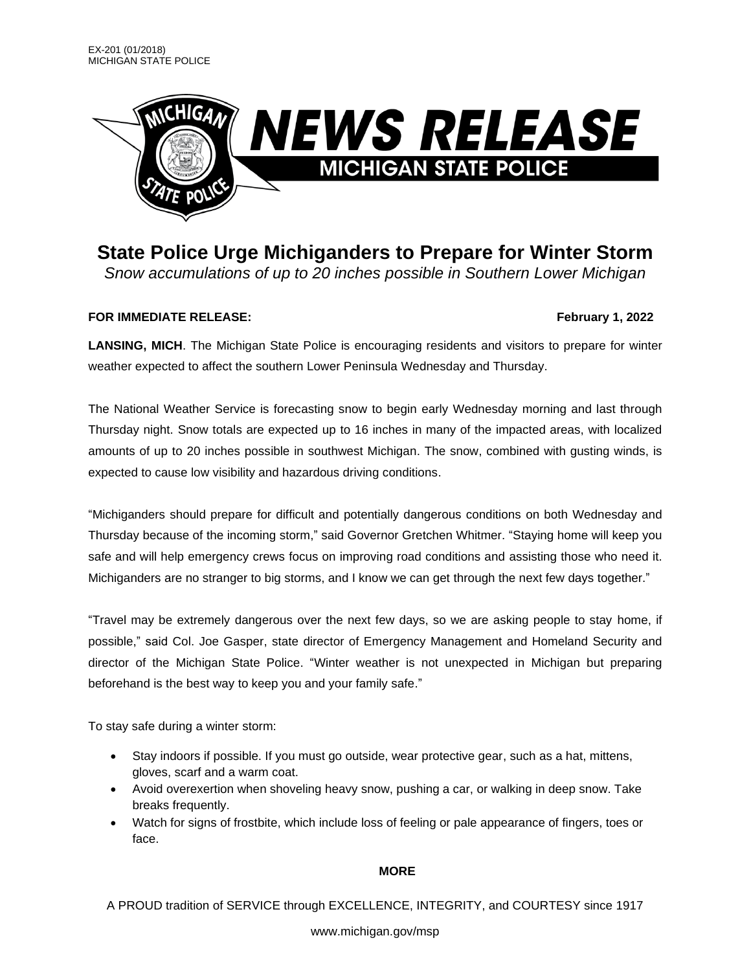

**State Police Urge Michiganders to Prepare for Winter Storm**

*Snow accumulations of up to 20 inches possible in Southern Lower Michigan*

# **FOR IMMEDIATE RELEASE: February 1, 2022**

**LANSING, MICH**. The Michigan State Police is encouraging residents and visitors to prepare for winter weather expected to affect the southern Lower Peninsula Wednesday and Thursday.

The National Weather Service is forecasting snow to begin early Wednesday morning and last through Thursday night. Snow totals are expected up to 16 inches in many of the impacted areas, with localized amounts of up to 20 inches possible in southwest Michigan. The snow, combined with gusting winds, is expected to cause low visibility and hazardous driving conditions.

"Michiganders should prepare for difficult and potentially dangerous conditions on both Wednesday and Thursday because of the incoming storm," said Governor Gretchen Whitmer. "Staying home will keep you safe and will help emergency crews focus on improving road conditions and assisting those who need it. Michiganders are no stranger to big storms, and I know we can get through the next few days together."

"Travel may be extremely dangerous over the next few days, so we are asking people to stay home, if possible," said Col. Joe Gasper, state director of Emergency Management and Homeland Security and director of the Michigan State Police. "Winter weather is not unexpected in Michigan but preparing beforehand is the best way to keep you and your family safe."

To stay safe during a winter storm:

- Stay indoors if possible. If you must go outside, wear protective gear, such as a hat, mittens, gloves, scarf and a warm coat.
- Avoid overexertion when shoveling heavy snow, pushing a car, or walking in deep snow. Take breaks frequently.
- Watch for signs of frostbite, which include loss of feeling or pale appearance of fingers, toes or face.

### **MORE**

A PROUD tradition of SERVICE through EXCELLENCE, INTEGRITY, and COURTESY since 1917